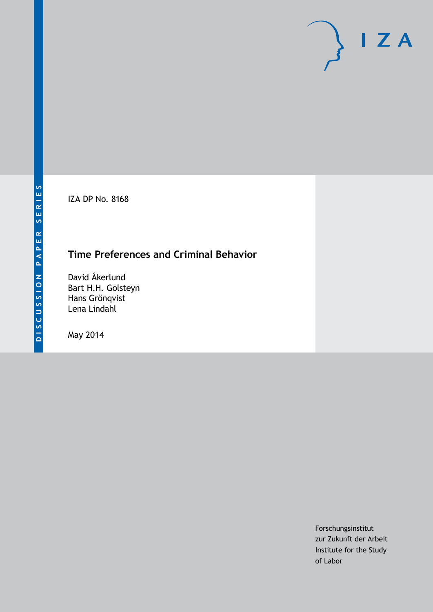IZA DP No. 8168

# **Time Preferences and Criminal Behavior**

David Åkerlund Bart H.H. Golsteyn Hans Grönqvist Lena Lindahl

May 2014

Forschungsinstitut zur Zukunft der Arbeit Institute for the Study of Labor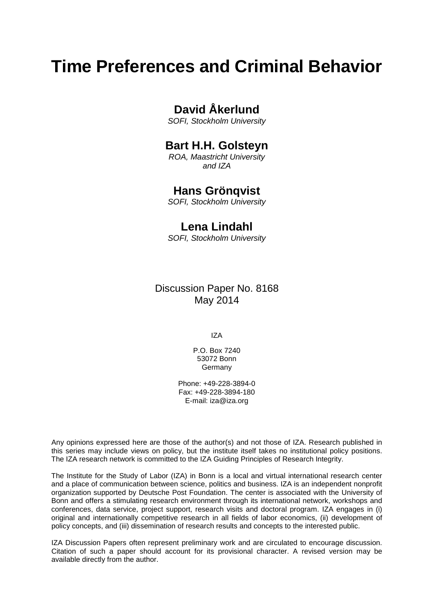# **Time Preferences and Criminal Behavior**

## **David Åkerlund**

*SOFI, Stockholm University*

### **Bart H.H. Golsteyn**

*ROA, Maastricht University and IZA*

### **Hans Grönqvist**

*SOFI, Stockholm University*

### **Lena Lindahl**

*SOFI, Stockholm University*

Discussion Paper No. 8168 May 2014

IZA

P.O. Box 7240 53072 Bonn Germany

Phone: +49-228-3894-0 Fax: +49-228-3894-180 E-mail: [iza@iza.org](mailto:iza@iza.org)

Any opinions expressed here are those of the author(s) and not those of IZA. Research published in this series may include views on policy, but the institute itself takes no institutional policy positions. The IZA research network is committed to the IZA Guiding Principles of Research Integrity.

The Institute for the Study of Labor (IZA) in Bonn is a local and virtual international research center and a place of communication between science, politics and business. IZA is an independent nonprofit organization supported by Deutsche Post Foundation. The center is associated with the University of Bonn and offers a stimulating research environment through its international network, workshops and conferences, data service, project support, research visits and doctoral program. IZA engages in (i) original and internationally competitive research in all fields of labor economics, (ii) development of policy concepts, and (iii) dissemination of research results and concepts to the interested public.

IZA Discussion Papers often represent preliminary work and are circulated to encourage discussion. Citation of such a paper should account for its provisional character. A revised version may be available directly from the author.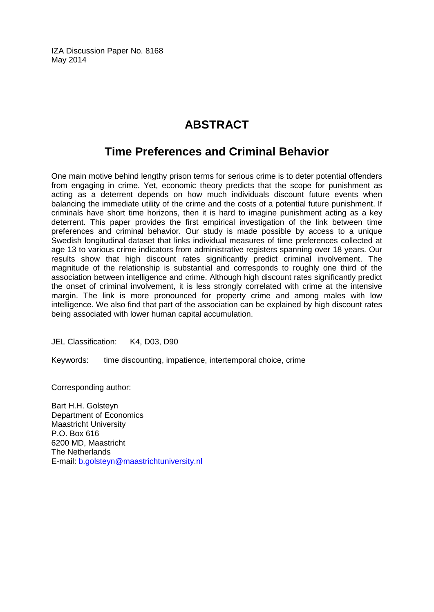IZA Discussion Paper No. 8168 May 2014

# **ABSTRACT**

### **Time Preferences and Criminal Behavior**

One main motive behind lengthy prison terms for serious crime is to deter potential offenders from engaging in crime. Yet, economic theory predicts that the scope for punishment as acting as a deterrent depends on how much individuals discount future events when balancing the immediate utility of the crime and the costs of a potential future punishment. If criminals have short time horizons, then it is hard to imagine punishment acting as a key deterrent. This paper provides the first empirical investigation of the link between time preferences and criminal behavior. Our study is made possible by access to a unique Swedish longitudinal dataset that links individual measures of time preferences collected at age 13 to various crime indicators from administrative registers spanning over 18 years. Our results show that high discount rates significantly predict criminal involvement. The magnitude of the relationship is substantial and corresponds to roughly one third of the association between intelligence and crime. Although high discount rates significantly predict the onset of criminal involvement, it is less strongly correlated with crime at the intensive margin. The link is more pronounced for property crime and among males with low intelligence. We also find that part of the association can be explained by high discount rates being associated with lower human capital accumulation.

JEL Classification: K4, D03, D90

Keywords: time discounting, impatience, intertemporal choice, crime

Corresponding author:

Bart H.H. Golsteyn Department of Economics Maastricht University P.O. Box 616 6200 MD, Maastricht The Netherlands E-mail: [b.golsteyn@maastrichtuniversity.nl](mailto:b.golsteyn@maastrichtuniversity.nl)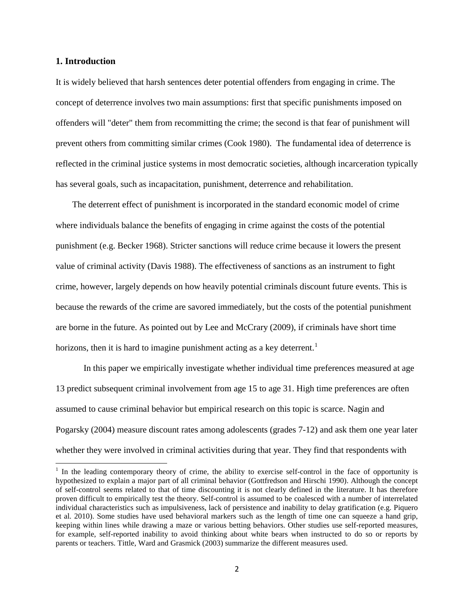#### **1. Introduction**

It is widely believed that harsh sentences deter potential offenders from engaging in crime. The concept of deterrence involves two main assumptions: first that specific punishments imposed on offenders will "deter" them from recommitting the crime; the second is that fear of punishment will prevent others from committing similar crimes (Cook 1980). The fundamental idea of deterrence is reflected in the criminal justice systems in most democratic societies, although incarceration typically has several goals, such as incapacitation, punishment, deterrence and rehabilitation.

The deterrent effect of punishment is incorporated in the standard economic model of crime where individuals balance the benefits of engaging in crime against the costs of the potential punishment (e.g. Becker 1968). Stricter sanctions will reduce crime because it lowers the present value of criminal activity (Davis 1988). The effectiveness of sanctions as an instrument to fight crime, however, largely depends on how heavily potential criminals discount future events. This is because the rewards of the crime are savored immediately, but the costs of the potential punishment are borne in the future. As pointed out by Lee and McCrary (2009), if criminals have short time horizons, then it is hard to imagine punishment acting as a key deterrent.<sup>1</sup>

In this paper we empirically investigate whether individual time preferences measured at age 13 predict subsequent criminal involvement from age 15 to age 31. High time preferences are often assumed to cause criminal behavior but empirical research on this topic is scarce. Nagin and Pogarsky (2004) measure discount rates among adolescents (grades 7-12) and ask them one year later whether they were involved in criminal activities during that year. They find that respondents with

<span id="page-3-0"></span><sup>&</sup>lt;sup>1</sup> In the leading contemporary theory of crime, the ability to exercise self-control in the face of opportunity is hypothesized to explain a major part of all criminal behavior (Gottfredson and Hirschi 1990). Although the concept of self-control seems related to that of time discounting it is not clearly defined in the literature. It has therefore proven difficult to empirically test the theory. Self-control is assumed to be coalesced with a number of interrelated individual characteristics such as impulsiveness, lack of persistence and inability to delay gratification (e.g. Piquero et al. 2010). Some studies have used behavioral markers such as the length of time one can squeeze a hand grip, keeping within lines while drawing a maze or various betting behaviors. Other studies use self-reported measures, for example, self-reported inability to avoid thinking about white bears when instructed to do so or reports by parents or teachers. Tittle, Ward and Grasmick (2003) summarize the different measures used.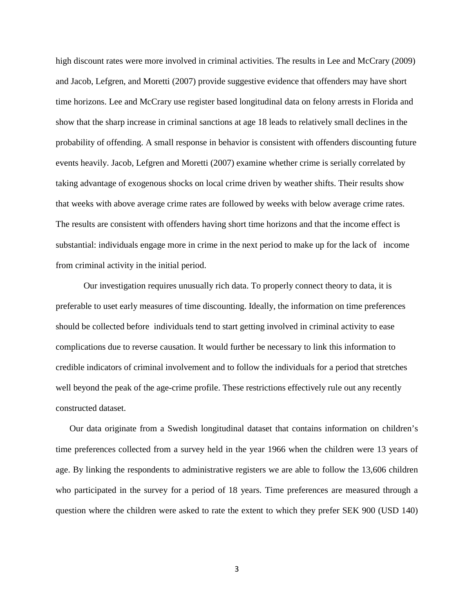high discount rates were more involved in criminal activities. The results in Lee and McCrary (2009) and Jacob, Lefgren, and Moretti (2007) provide suggestive evidence that offenders may have short time horizons. Lee and McCrary use register based longitudinal data on felony arrests in Florida and show that the sharp increase in criminal sanctions at age 18 leads to relatively small declines in the probability of offending. A small response in behavior is consistent with offenders discounting future events heavily. Jacob, Lefgren and Moretti (2007) examine whether crime is serially correlated by taking advantage of exogenous shocks on local crime driven by weather shifts. Their results show that weeks with above average crime rates are followed by weeks with below average crime rates. The results are consistent with offenders having short time horizons and that the income effect is substantial: individuals engage more in crime in the next period to make up for the lack of income from criminal activity in the initial period.

Our investigation requires unusually rich data. To properly connect theory to data, it is preferable to uset early measures of time discounting. Ideally, the information on time preferences should be collected before individuals tend to start getting involved in criminal activity to ease complications due to reverse causation. It would further be necessary to link this information to credible indicators of criminal involvement and to follow the individuals for a period that stretches well beyond the peak of the age-crime profile. These restrictions effectively rule out any recently constructed dataset.

Our data originate from a Swedish longitudinal dataset that contains information on children's time preferences collected from a survey held in the year 1966 when the children were 13 years of age. By linking the respondents to administrative registers we are able to follow the 13,606 children who participated in the survey for a period of 18 years. Time preferences are measured through a question where the children were asked to rate the extent to which they prefer SEK 900 (USD 140)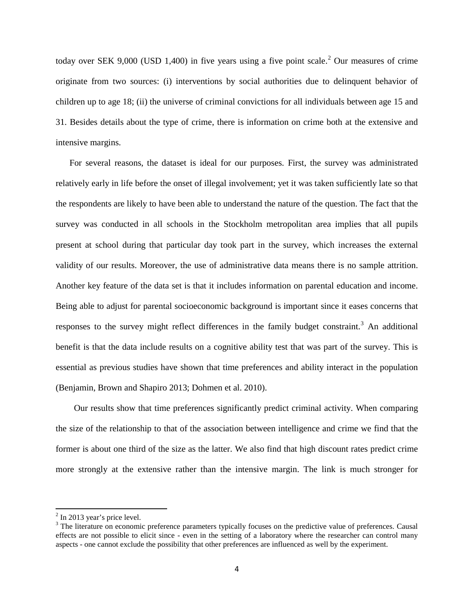today over SEK 9,000 (USD 1,400) in five years using a five point scale.<sup>[2](#page-3-0)</sup> Our measures of crime originate from two sources: (i) interventions by social authorities due to delinquent behavior of children up to age 18; (ii) the universe of criminal convictions for all individuals between age 15 and 31. Besides details about the type of crime, there is information on crime both at the extensive and intensive margins.

For several reasons, the dataset is ideal for our purposes. First, the survey was administrated relatively early in life before the onset of illegal involvement; yet it was taken sufficiently late so that the respondents are likely to have been able to understand the nature of the question. The fact that the survey was conducted in all schools in the Stockholm metropolitan area implies that all pupils present at school during that particular day took part in the survey, which increases the external validity of our results. Moreover, the use of administrative data means there is no sample attrition. Another key feature of the data set is that it includes information on parental education and income. Being able to adjust for parental socioeconomic background is important since it eases concerns that responses to the survey might reflect differences in the family budget constraint.<sup>[3](#page-5-0)</sup> An additional benefit is that the data include results on a cognitive ability test that was part of the survey. This is essential as previous studies have shown that time preferences and ability interact in the population (Benjamin, Brown and Shapiro 2013; Dohmen et al. 2010).

 Our results show that time preferences significantly predict criminal activity. When comparing the size of the relationship to that of the association between intelligence and crime we find that the former is about one third of the size as the latter. We also find that high discount rates predict crime more strongly at the extensive rather than the intensive margin. The link is much stronger for

 $2$  In 2013 year's price level.

<span id="page-5-1"></span><span id="page-5-0"></span><sup>&</sup>lt;sup>3</sup> The literature on economic preference parameters typically focuses on the predictive value of preferences. Causal effects are not possible to elicit since - even in the setting of a laboratory where the researcher can control many aspects - one cannot exclude the possibility that other preferences are influenced as well by the experiment.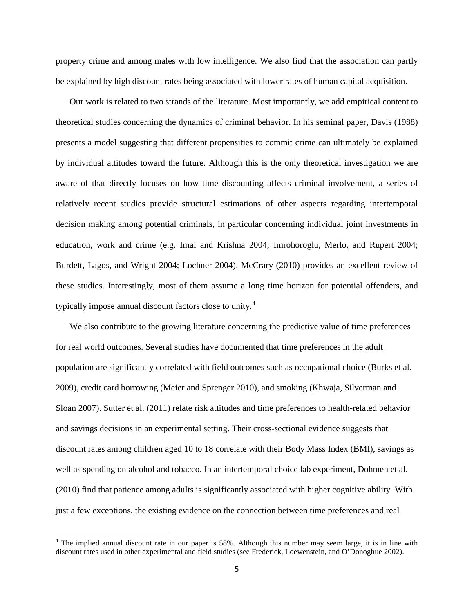property crime and among males with low intelligence. We also find that the association can partly be explained by high discount rates being associated with lower rates of human capital acquisition.

Our work is related to two strands of the literature. Most importantly, we add empirical content to theoretical studies concerning the dynamics of criminal behavior. In his seminal paper, Davis (1988) presents a model suggesting that different propensities to commit crime can ultimately be explained by individual attitudes toward the future. Although this is the only theoretical investigation we are aware of that directly focuses on how time discounting affects criminal involvement, a series of relatively recent studies provide structural estimations of other aspects regarding intertemporal decision making among potential criminals, in particular concerning individual joint investments in education, work and crime (e.g. Imai and Krishna 2004; Imrohoroglu, Merlo, and Rupert 2004; Burdett, Lagos, and Wright 2004; Lochner 2004). McCrary (2010) provides an excellent review of these studies. Interestingly, most of them assume a long time horizon for potential offenders, and typically impose annual discount factors close to unity.[4](#page-5-1)

We also contribute to the growing literature concerning the predictive value of time preferences for real world outcomes. Several studies have documented that time preferences in the adult population are significantly correlated with field outcomes such as occupational choice (Burks et al. 2009), credit card borrowing (Meier and Sprenger 2010), and smoking (Khwaja, Silverman and Sloan 2007). Sutter et al. (2011) relate risk attitudes and time preferences to health-related behavior and savings decisions in an experimental setting. Their cross-sectional evidence suggests that discount rates among children aged 10 to 18 correlate with their Body Mass Index (BMI), savings as well as spending on alcohol and tobacco. In an intertemporal choice lab experiment, Dohmen et al. (2010) find that patience among adults is significantly associated with higher cognitive ability. With just a few exceptions, the existing evidence on the connection between time preferences and real

<span id="page-6-0"></span><sup>&</sup>lt;sup>4</sup> The implied annual discount rate in our paper is 58%. Although this number may seem large, it is in line with discount rates used in other experimental and field studies (see Frederick, Loewenstein, and O'Donoghue 2002).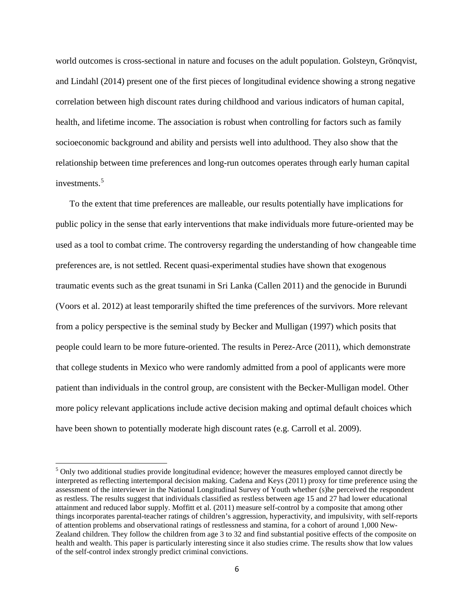world outcomes is cross-sectional in nature and focuses on the adult population. Golsteyn, Grönqvist, and Lindahl (2014) present one of the first pieces of longitudinal evidence showing a strong negative correlation between high discount rates during childhood and various indicators of human capital, health, and lifetime income. The association is robust when controlling for factors such as family socioeconomic background and ability and persists well into adulthood. They also show that the relationship between time preferences and long-run outcomes operates through early human capital investments<sup>[5](#page-6-0)</sup>

To the extent that time preferences are malleable, our results potentially have implications for public policy in the sense that early interventions that make individuals more future-oriented may be used as a tool to combat crime. The controversy regarding the understanding of how changeable time preferences are, is not settled. Recent quasi-experimental studies have shown that exogenous traumatic events such as the great tsunami in Sri Lanka (Callen 2011) and the genocide in Burundi (Voors et al. 2012) at least temporarily shifted the time preferences of the survivors. More relevant from a policy perspective is the seminal study by Becker and Mulligan (1997) which posits that people could learn to be more future-oriented. The results in Perez-Arce (2011), which demonstrate that college students in Mexico who were randomly admitted from a pool of applicants were more patient than individuals in the control group, are consistent with the Becker-Mulligan model. Other more policy relevant applications include active decision making and optimal default choices which have been shown to potentially moderate high discount rates (e.g. Carroll et al. 2009).

<span id="page-7-0"></span><sup>&</sup>lt;sup>5</sup> Only two additional studies provide longitudinal evidence; however the measures employed cannot directly be interpreted as reflecting intertemporal decision making. Cadena and Keys (2011) proxy for time preference using the assessment of the interviewer in the National Longitudinal Survey of Youth whether (s)he perceived the respondent as restless. The results suggest that individuals classified as restless between age 15 and 27 had lower educational attainment and reduced labor supply. Moffitt et al. (2011) measure self-control by a composite that among other things incorporates parental-teacher ratings of children's aggression, hyperactivity, and impulsivity, with self-reports of attention problems and observational ratings of restlessness and stamina, for a cohort of around 1,000 New-Zealand children. They follow the children from age 3 to 32 and find substantial positive effects of the composite on health and wealth. This paper is particularly interesting since it also studies crime. The results show that low values of the self-control index strongly predict criminal convictions.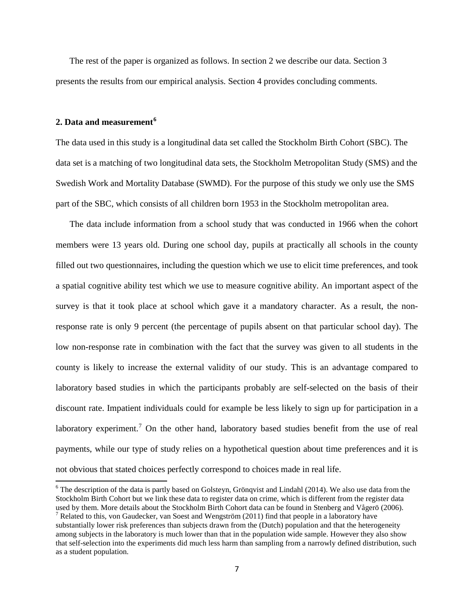The rest of the paper is organized as follows. In section 2 we describe our data. Section 3 presents the results from our empirical analysis. Section 4 provides concluding comments.

#### **2. Data and measurement[6](#page-7-0)**

The data used in this study is a longitudinal data set called the Stockholm Birth Cohort (SBC). The data set is a matching of two longitudinal data sets, the Stockholm Metropolitan Study (SMS) and the Swedish Work and Mortality Database (SWMD). For the purpose of this study we only use the SMS part of the SBC, which consists of all children born 1953 in the Stockholm metropolitan area.

The data include information from a school study that was conducted in 1966 when the cohort members were 13 years old. During one school day, pupils at practically all schools in the county filled out two questionnaires, including the question which we use to elicit time preferences, and took a spatial cognitive ability test which we use to measure cognitive ability. An important aspect of the survey is that it took place at school which gave it a mandatory character. As a result, the nonresponse rate is only 9 percent (the percentage of pupils absent on that particular school day). The low non-response rate in combination with the fact that the survey was given to all students in the county is likely to increase the external validity of our study. This is an advantage compared to laboratory based studies in which the participants probably are self-selected on the basis of their discount rate. Impatient individuals could for example be less likely to sign up for participation in a laboratory experiment.<sup>[7](#page-8-0)</sup> On the other hand, laboratory based studies benefit from the use of real payments, while our type of study relies on a hypothetical question about time preferences and it is not obvious that stated choices perfectly correspond to choices made in real life.

 $6$  The description of the data is partly based on Golsteyn, Grönqvist and Lindahl (2014). We also use data from the Stockholm Birth Cohort but we link these data to register data on crime, which is different from the register data used by them. More details about the Stockholm Birth Cohort data can be found in Stenberg and Vågerö (2006). <sup>7</sup> Related to this, von Gaudecker, van Soest and Wengström (2011) find that people in a laboratory have substantially lower risk preferences than subjects drawn from the (Dutch) population and that the heterogeneity among subjects in the laboratory is much lower than that in the population wide sample. However they also show

<span id="page-8-1"></span><span id="page-8-0"></span>that self-selection into the experiments did much less harm than sampling from a narrowly defined distribution, such as a student population.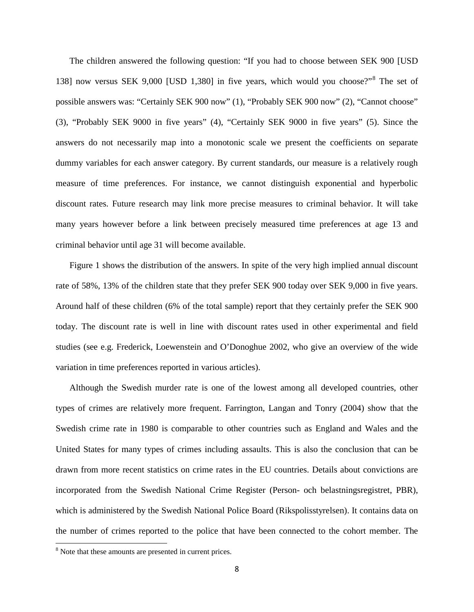The children answered the following question: "If you had to choose between SEK 900 [USD 138] now versus SEK 9,000 [USD 1,380] in five years, which would you choose?"[8](#page-8-1) The set of possible answers was: "Certainly SEK 900 now" (1), "Probably SEK 900 now" (2), "Cannot choose" (3), "Probably SEK 9000 in five years" (4), "Certainly SEK 9000 in five years" (5). Since the answers do not necessarily map into a monotonic scale we present the coefficients on separate dummy variables for each answer category. By current standards, our measure is a relatively rough measure of time preferences. For instance, we cannot distinguish exponential and hyperbolic discount rates. Future research may link more precise measures to criminal behavior. It will take many years however before a link between precisely measured time preferences at age 13 and criminal behavior until age 31 will become available.

Figure 1 shows the distribution of the answers. In spite of the very high implied annual discount rate of 58%, 13% of the children state that they prefer SEK 900 today over SEK 9,000 in five years. Around half of these children (6% of the total sample) report that they certainly prefer the SEK 900 today. The discount rate is well in line with discount rates used in other experimental and field studies (see e.g. Frederick, Loewenstein and O'Donoghue 2002, who give an overview of the wide variation in time preferences reported in various articles).

Although the Swedish murder rate is one of the lowest among all developed countries, other types of crimes are relatively more frequent. Farrington, Langan and Tonry (2004) show that the Swedish crime rate in 1980 is comparable to other countries such as England and Wales and the United States for many types of crimes including assaults. This is also the conclusion that can be drawn from more recent statistics on crime rates in the EU countries. Details about convictions are incorporated from the Swedish National Crime Register (Person- och belastningsregistret, PBR), which is administered by the Swedish National Police Board (Rikspolisstyrelsen). It contains data on the number of crimes reported to the police that have been connected to the cohort member. The

<span id="page-9-0"></span><sup>&</sup>lt;sup>8</sup> Note that these amounts are presented in current prices.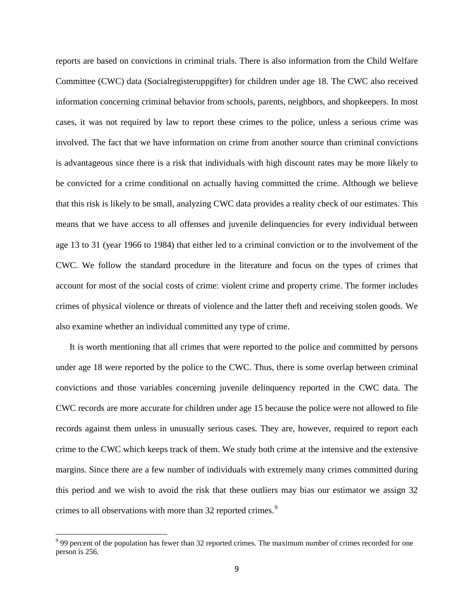reports are based on convictions in criminal trials. There is also information from the Child Welfare Committee (CWC) data (Socialregisteruppgifter) for children under age 18. The CWC also received information concerning criminal behavior from schools, parents, neighbors, and shopkeepers. In most cases, it was not required by law to report these crimes to the police, unless a serious crime was involved. The fact that we have information on crime from another source than criminal convictions is advantageous since there is a risk that individuals with high discount rates may be more likely to be convicted for a crime conditional on actually having committed the crime. Although we believe that this risk is likely to be small, analyzing CWC data provides a reality check of our estimates. This means that we have access to all offenses and juvenile delinquencies for every individual between age 13 to 31 (year 1966 to 1984) that either led to a criminal conviction or to the involvement of the CWC. We follow the standard procedure in the literature and focus on the types of crimes that account for most of the social costs of crime: violent crime and property crime. The former includes crimes of physical violence or threats of violence and the latter theft and receiving stolen goods. We also examine whether an individual committed any type of crime.

It is worth mentioning that all crimes that were reported to the police and committed by persons under age 18 were reported by the police to the CWC. Thus, there is some overlap between criminal convictions and those variables concerning juvenile delinquency reported in the CWC data. The CWC records are more accurate for children under age 15 because the police were not allowed to file records against them unless in unusually serious cases. They are, however, required to report each crime to the CWC which keeps track of them. We study both crime at the intensive and the extensive margins. Since there are a few number of individuals with extremely many crimes committed during this period and we wish to avoid the risk that these outliers may bias our estimator we assign 32 crimes to all observations with more than 32 reported crimes.<sup>[9](#page-9-0)</sup>

<span id="page-10-0"></span><sup>&</sup>lt;sup>9</sup> 99 percent of the population has fewer than 32 reported crimes. The maximum number of crimes recorded for one person is 256.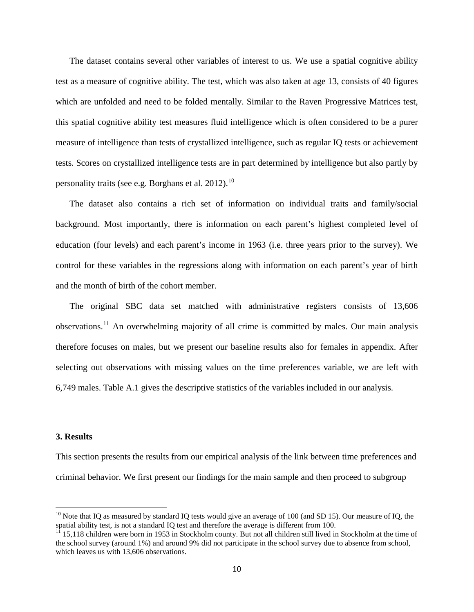The dataset contains several other variables of interest to us. We use a spatial cognitive ability test as a measure of cognitive ability. The test, which was also taken at age 13, consists of 40 figures which are unfolded and need to be folded mentally. Similar to the Raven Progressive Matrices test, this spatial cognitive ability test measures fluid intelligence which is often considered to be a purer measure of intelligence than tests of crystallized intelligence, such as regular IQ tests or achievement tests. Scores on crystallized intelligence tests are in part determined by intelligence but also partly by personality traits (see e.g. Borghans et al.  $2012$ ).<sup>[10](#page-10-0)</sup>

The dataset also contains a rich set of information on individual traits and family/social background. Most importantly, there is information on each parent's highest completed level of education (four levels) and each parent's income in 1963 (i.e. three years prior to the survey). We control for these variables in the regressions along with information on each parent's year of birth and the month of birth of the cohort member.

The original SBC data set matched with administrative registers consists of 13,606 observations.<sup>[11](#page-11-0)</sup> An overwhelming majority of all crime is committed by males. Our main analysis therefore focuses on males, but we present our baseline results also for females in appendix. After selecting out observations with missing values on the time preferences variable, we are left with 6,749 males. Table A.1 gives the descriptive statistics of the variables included in our analysis.

#### **3. Results**

This section presents the results from our empirical analysis of the link between time preferences and criminal behavior. We first present our findings for the main sample and then proceed to subgroup

<span id="page-11-1"></span> $10$  Note that IQ as measured by standard IQ tests would give an average of 100 (and SD 15). Our measure of IQ, the spatial ability test, is not a standard IQ test and therefore the average is different from 100.

<span id="page-11-0"></span><sup>&</sup>lt;sup>11</sup> 15,118 children were born in 1953 in Stockholm county. But not all children still lived in Stockholm at the time of the school survey (around 1%) and around 9% did not participate in the school survey due to absence from school, which leaves us with 13,606 observations.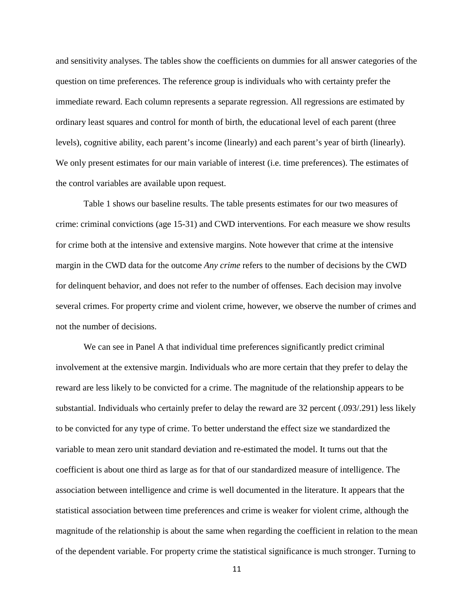and sensitivity analyses. The tables show the coefficients on dummies for all answer categories of the question on time preferences. The reference group is individuals who with certainty prefer the immediate reward. Each column represents a separate regression. All regressions are estimated by ordinary least squares and control for month of birth, the educational level of each parent (three levels), cognitive ability, each parent's income (linearly) and each parent's year of birth (linearly). We only present estimates for our main variable of interest (i.e. time preferences). The estimates of the control variables are available upon request.

Table 1 shows our baseline results. The table presents estimates for our two measures of crime: criminal convictions (age 15-31) and CWD interventions. For each measure we show results for crime both at the intensive and extensive margins. Note however that crime at the intensive margin in the CWD data for the outcome *Any crime* refers to the number of decisions by the CWD for delinquent behavior, and does not refer to the number of offenses. Each decision may involve several crimes. For property crime and violent crime, however, we observe the number of crimes and not the number of decisions.

We can see in Panel A that individual time preferences significantly predict criminal involvement at the extensive margin. Individuals who are more certain that they prefer to delay the reward are less likely to be convicted for a crime. The magnitude of the relationship appears to be substantial. Individuals who certainly prefer to delay the reward are 32 percent (.093/.291) less likely to be convicted for any type of crime. To better understand the effect size we standardized the variable to mean zero unit standard deviation and re-estimated the model. It turns out that the coefficient is about one third as large as for that of our standardized measure of intelligence. The association between intelligence and crime is well documented in the literature. It appears that the statistical association between time preferences and crime is weaker for violent crime, although the magnitude of the relationship is about the same when regarding the coefficient in relation to the mean of the dependent variable. For property crime the statistical significance is much stronger. Turning to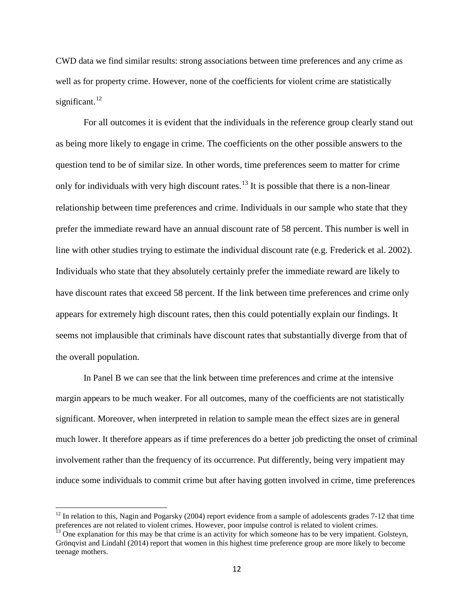CWD data we find similar results: strong associations between time preferences and any crime as well as for property crime. However, none of the coefficients for violent crime are statistically significant. $^{12}$  $^{12}$  $^{12}$ 

For all outcomes it is evident that the individuals in the reference group clearly stand out as being more likely to engage in crime. The coefficients on the other possible answers to the question tend to be of similar size. In other words, time preferences seem to matter for crime only for individuals with very high discount rates.<sup>[13](#page-13-0)</sup> It is possible that there is a non-linear relationship between time preferences and crime. Individuals in our sample who state that they prefer the immediate reward have an annual discount rate of 58 percent. This number is well in line with other studies trying to estimate the individual discount rate (e.g. Frederick et al. 2002). Individuals who state that they absolutely certainly prefer the immediate reward are likely to have discount rates that exceed 58 percent. If the link between time preferences and crime only appears for extremely high discount rates, then this could potentially explain our findings. It seems not implausible that criminals have discount rates that substantially diverge from that of the overall population.

In Panel B we can see that the link between time preferences and crime at the intensive margin appears to be much weaker. For all outcomes, many of the coefficients are not statistically significant. Moreover, when interpreted in relation to sample mean the effect sizes are in general much lower. It therefore appears as if time preferences do a better job predicting the onset of criminal involvement rather than the frequency of its occurrence. Put differently, being very impatient may induce some individuals to commit crime but after having gotten involved in crime, time preferences

 $12$  In relation to this, Nagin and Pogarsky (2004) report evidence from a sample of adolescents grades 7-12 that time preferences are not related to violent crimes. However, poor impulse control is related to violent crimes.<br><sup>13</sup> One explanation for this may be that crime is an activity for which someone has to be very impatient. Golsteyn

<span id="page-13-0"></span>Grönqvist and Lindahl (2014) report that women in this highest time preference group are more likely to become teenage mothers.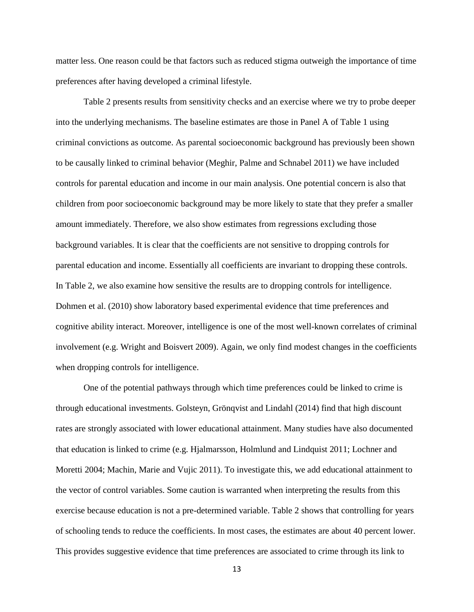matter less. One reason could be that factors such as reduced stigma outweigh the importance of time preferences after having developed a criminal lifestyle.

Table 2 presents results from sensitivity checks and an exercise where we try to probe deeper into the underlying mechanisms. The baseline estimates are those in Panel A of Table 1 using criminal convictions as outcome. As parental socioeconomic background has previously been shown to be causally linked to criminal behavior (Meghir, Palme and Schnabel 2011) we have included controls for parental education and income in our main analysis. One potential concern is also that children from poor socioeconomic background may be more likely to state that they prefer a smaller amount immediately. Therefore, we also show estimates from regressions excluding those background variables. It is clear that the coefficients are not sensitive to dropping controls for parental education and income. Essentially all coefficients are invariant to dropping these controls. In Table 2, we also examine how sensitive the results are to dropping controls for intelligence. Dohmen et al. (2010) show laboratory based experimental evidence that time preferences and cognitive ability interact. Moreover, intelligence is one of the most well-known correlates of criminal involvement (e.g. Wright and Boisvert 2009). Again, we only find modest changes in the coefficients when dropping controls for intelligence.

One of the potential pathways through which time preferences could be linked to crime is through educational investments. Golsteyn, Grönqvist and Lindahl (2014) find that high discount rates are strongly associated with lower educational attainment. Many studies have also documented that education is linked to crime (e.g. Hjalmarsson, Holmlund and Lindquist 2011; Lochner and Moretti 2004; Machin, Marie and Vujic 2011). To investigate this, we add educational attainment to the vector of control variables. Some caution is warranted when interpreting the results from this exercise because education is not a pre-determined variable. Table 2 shows that controlling for years of schooling tends to reduce the coefficients. In most cases, the estimates are about 40 percent lower. This provides suggestive evidence that time preferences are associated to crime through its link to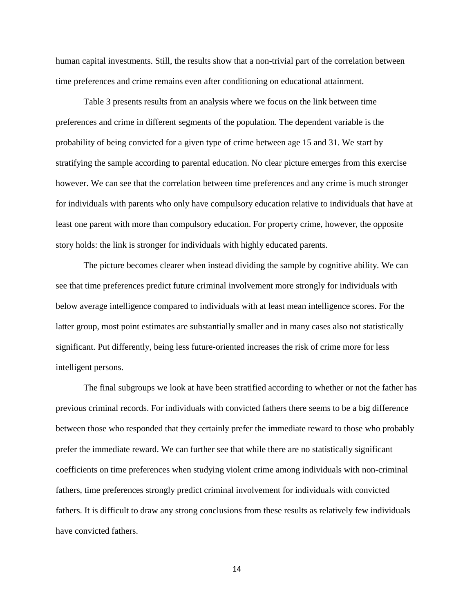human capital investments. Still, the results show that a non-trivial part of the correlation between time preferences and crime remains even after conditioning on educational attainment.

Table 3 presents results from an analysis where we focus on the link between time preferences and crime in different segments of the population. The dependent variable is the probability of being convicted for a given type of crime between age 15 and 31. We start by stratifying the sample according to parental education. No clear picture emerges from this exercise however. We can see that the correlation between time preferences and any crime is much stronger for individuals with parents who only have compulsory education relative to individuals that have at least one parent with more than compulsory education. For property crime, however, the opposite story holds: the link is stronger for individuals with highly educated parents.

The picture becomes clearer when instead dividing the sample by cognitive ability. We can see that time preferences predict future criminal involvement more strongly for individuals with below average intelligence compared to individuals with at least mean intelligence scores. For the latter group, most point estimates are substantially smaller and in many cases also not statistically significant. Put differently, being less future-oriented increases the risk of crime more for less intelligent persons.

The final subgroups we look at have been stratified according to whether or not the father has previous criminal records. For individuals with convicted fathers there seems to be a big difference between those who responded that they certainly prefer the immediate reward to those who probably prefer the immediate reward. We can further see that while there are no statistically significant coefficients on time preferences when studying violent crime among individuals with non-criminal fathers, time preferences strongly predict criminal involvement for individuals with convicted fathers. It is difficult to draw any strong conclusions from these results as relatively few individuals have convicted fathers.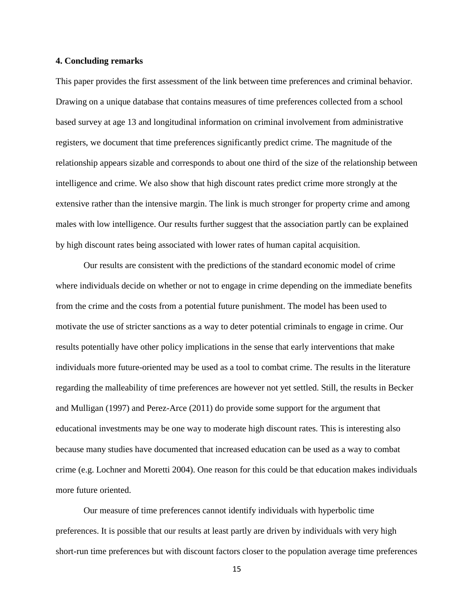#### **4. Concluding remarks**

This paper provides the first assessment of the link between time preferences and criminal behavior. Drawing on a unique database that contains measures of time preferences collected from a school based survey at age 13 and longitudinal information on criminal involvement from administrative registers, we document that time preferences significantly predict crime. The magnitude of the relationship appears sizable and corresponds to about one third of the size of the relationship between intelligence and crime. We also show that high discount rates predict crime more strongly at the extensive rather than the intensive margin. The link is much stronger for property crime and among males with low intelligence. Our results further suggest that the association partly can be explained by high discount rates being associated with lower rates of human capital acquisition.

Our results are consistent with the predictions of the standard economic model of crime where individuals decide on whether or not to engage in crime depending on the immediate benefits from the crime and the costs from a potential future punishment. The model has been used to motivate the use of stricter sanctions as a way to deter potential criminals to engage in crime. Our results potentially have other policy implications in the sense that early interventions that make individuals more future-oriented may be used as a tool to combat crime. The results in the literature regarding the malleability of time preferences are however not yet settled. Still, the results in Becker and Mulligan (1997) and Perez-Arce (2011) do provide some support for the argument that educational investments may be one way to moderate high discount rates. This is interesting also because many studies have documented that increased education can be used as a way to combat crime (e.g. Lochner and Moretti 2004). One reason for this could be that education makes individuals more future oriented.

Our measure of time preferences cannot identify individuals with hyperbolic time preferences. It is possible that our results at least partly are driven by individuals with very high short-run time preferences but with discount factors closer to the population average time preferences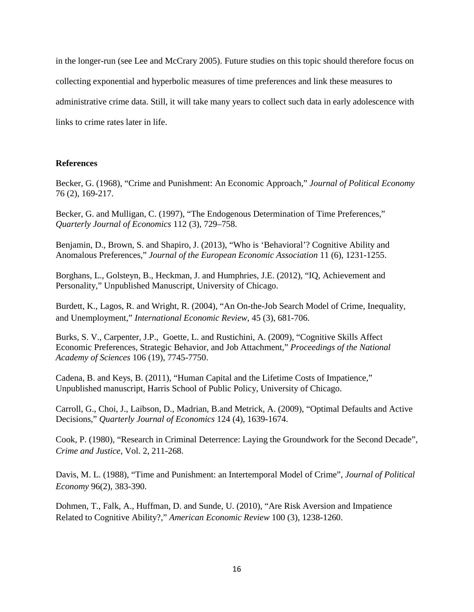in the longer-run (see Lee and McCrary 2005). Future studies on this topic should therefore focus on collecting exponential and hyperbolic measures of time preferences and link these measures to administrative crime data. Still, it will take many years to collect such data in early adolescence with links to crime rates later in life.

#### **References**

Becker, G. (1968), "Crime and Punishment: An Economic Approach," *Journal of Political Economy* 76 (2), 169-217.

Becker, G. and Mulligan, C. (1997), "The Endogenous Determination of Time Preferences," *Quarterly Journal of Economics* 112 (3), 729–758.

Benjamin, D., Brown, S. and Shapiro, J. (2013), "Who is 'Behavioral'? Cognitive Ability and Anomalous Preferences," *Journal of the European Economic Association* 11 (6), 1231-1255.

Borghans, L., Golsteyn, B., Heckman, J. and Humphries, J.E. (2012), "IQ, Achievement and Personality," Unpublished Manuscript, University of Chicago.

Burdett, K., Lagos, R. and Wright, R. (2004), "An On-the-Job Search Model of Crime, Inequality, and Unemployment," *International Economic Review*, 45 (3), 681-706.

Burks, S. V., Carpenter, J.P., Goette, L. and Rustichini, A. (2009), "Cognitive Skills Affect Economic Preferences, Strategic Behavior, and Job Attachment," *Proceedings of the National Academy of Sciences* 106 (19), 7745-7750.

Cadena, B. and Keys, B. (2011), "Human Capital and the Lifetime Costs of Impatience," Unpublished manuscript, Harris School of Public Policy, University of Chicago.

Carroll, G., Choi, J., Laibson, D., Madrian, B.and Metrick, A. (2009), "Optimal Defaults and Active Decisions," *Quarterly Journal of Economics* 124 (4), 1639-1674.

Cook, P. (1980), "Research in Criminal Deterrence: Laying the Groundwork for the Second Decade", *Crime and Justice*, Vol. 2, 211-268.

Davis, M. L. (1988), "Time and Punishment: an Intertemporal Model of Crime", *Journal of Political Economy* 96(2), 383-390.

Dohmen, T., Falk, A., Huffman, D. and Sunde, U. (2010), "Are Risk Aversion and Impatience Related to Cognitive Ability?," *American Economic Review* 100 (3), 1238-1260.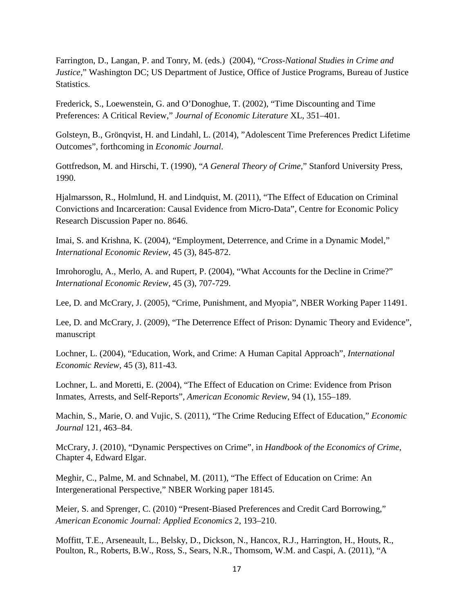Farrington, D., Langan, P. and Tonry, M. (eds.) (2004), "*Cross-National Studies in Crime and Justice*," Washington DC; US Department of Justice, Office of Justice Programs, Bureau of Justice **Statistics** 

Frederick, S., Loewenstein, G. and O'Donoghue, T. (2002), "Time Discounting and Time Preferences: A Critical Review," *Journal of Economic Literature* XL, 351–401.

Golsteyn, B., Grönqvist, H. and Lindahl, L. (2014), "Adolescent Time Preferences Predict Lifetime Outcomes", forthcoming in *Economic Journal*.

Gottfredson, M. and Hirschi, T. (1990), "*A General Theory of Crime*," Stanford University Press, 1990.

Hjalmarsson, R., Holmlund, H. and Lindquist, M. (2011), "The Effect of Education on Criminal Convictions and Incarceration: Causal Evidence from Micro-Data", Centre for Economic Policy Research Discussion Paper no. 8646.

Imai, S. and Krishna, K. (2004), "Employment, Deterrence, and Crime in a Dynamic Model," *International Economic Review*, 45 (3), 845-872.

Imrohoroglu, A., Merlo, A. and Rupert, P. (2004), "What Accounts for the Decline in Crime?" *International Economic Review*, 45 (3), 707-729.

Lee, D. and McCrary, J. (2005), "Crime, Punishment, and Myopia", NBER Working Paper 11491.

Lee, D. and McCrary, J. (2009), "The Deterrence Effect of Prison: Dynamic Theory and Evidence", manuscript

Lochner, L. (2004), "Education, Work, and Crime: A Human Capital Approach", *International Economic Review*, 45 (3), 811-43.

Lochner, L. and Moretti, E. (2004), "The Effect of Education on Crime: Evidence from Prison Inmates, Arrests, and Self-Reports", *American Economic Review*, 94 (1), 155–189.

Machin, S., Marie, O. and Vujic, S. (2011), "The Crime Reducing Effect of Education," *Economic Journal* 121, 463–84.

McCrary, J. (2010), "Dynamic Perspectives on Crime", in *Handbook of the Economics of Crime*, Chapter 4, Edward Elgar.

Meghir, C., Palme, M. and Schnabel, M. (2011), "The Effect of Education on Crime: An Intergenerational Perspective," NBER Working paper 18145.

Meier, S. and Sprenger, C. (2010) "Present-Biased Preferences and Credit Card Borrowing," *American Economic Journal: Applied Economics* 2, 193–210.

Moffitt, T.E., Arseneault, L., Belsky, D., Dickson, N., Hancox, R.J., Harrington, H., Houts, R., Poulton, R., Roberts, B.W., Ross, S., Sears, N.R., Thomsom, W.M. and Caspi, A. (2011), "A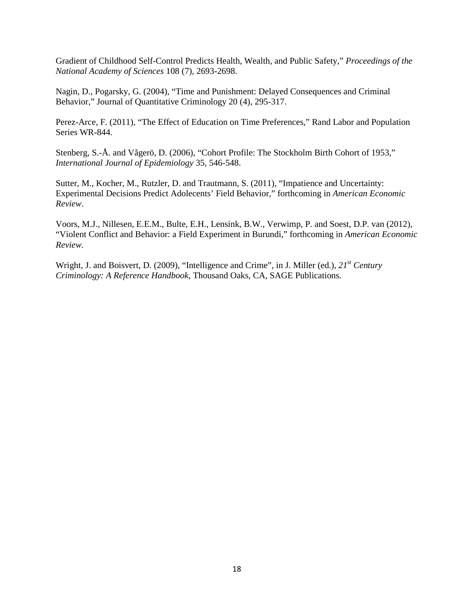Gradient of Childhood Self-Control Predicts Health, Wealth, and Public Safety," *Proceedings of the National Academy of Sciences* 108 (7), 2693-2698.

Nagin, D., Pogarsky, G. (2004), "Time and Punishment: Delayed Consequences and Criminal Behavior," Journal of Quantitative Criminology 20 (4), 295-317.

Perez-Arce, F. (2011), "The Effect of Education on Time Preferences," Rand Labor and Population Series WR-844.

Stenberg, S.-Å. and Vågerö, D. (2006), "Cohort Profile: The Stockholm Birth Cohort of 1953," *International Journal of Epidemiology* 35, 546-548.

Sutter, M., Kocher, M., Rutzler, D. and Trautmann, S. (2011), "Impatience and Uncertainty: Experimental Decisions Predict Adolecents' Field Behavior," forthcoming in *American Economic Review*.

Voors, M.J., Nillesen, E.E.M., Bulte, E.H., Lensink, B.W., Verwimp, P. and Soest, D.P. van (2012), "Violent Conflict and Behavior: a Field Experiment in Burundi," forthcoming in *American Economic Review.*

Wright, J. and Boisvert, D. (2009), "Intelligence and Crime", in J. Miller (ed.), *21st Century Criminology: A Reference Handbook*, Thousand Oaks, CA, SAGE Publications.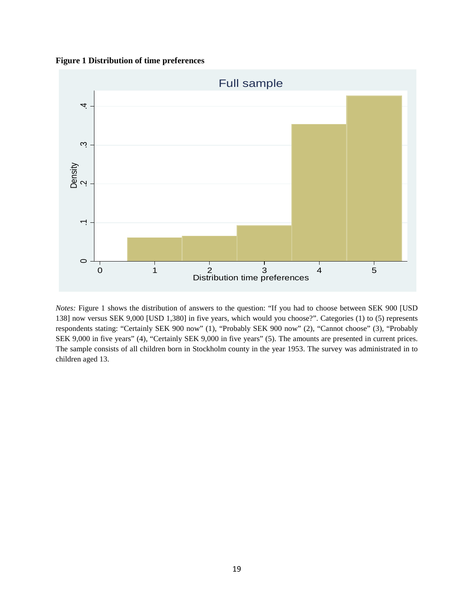#### **Figure 1 Distribution of time preferences**



*Notes:* Figure 1 shows the distribution of answers to the question: "If you had to choose between SEK 900 [USD 138] now versus SEK 9,000 [USD 1,380] in five years, which would you choose?". Categories (1) to (5) represents respondents stating: "Certainly SEK 900 now" (1), "Probably SEK 900 now" (2), "Cannot choose" (3), "Probably SEK 9,000 in five years" (4), "Certainly SEK 9,000 in five years" (5). The amounts are presented in current prices. The sample consists of all children born in Stockholm county in the year 1953. The survey was administrated in to children aged 13.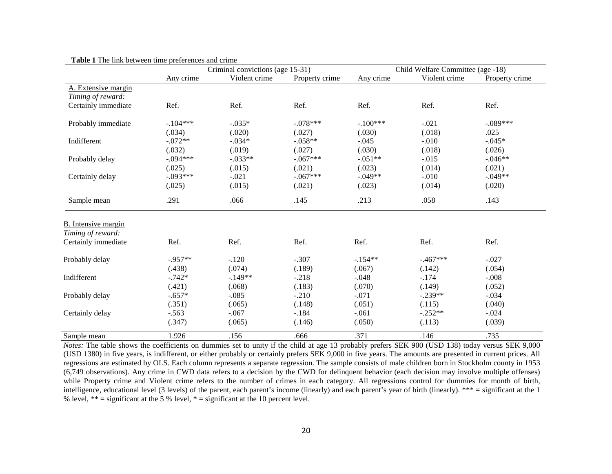|                            | Criminal convictions (age 15-31) |               |                | Child Welfare Committee (age -18) |                                                                                                                                                                      |                |  |
|----------------------------|----------------------------------|---------------|----------------|-----------------------------------|----------------------------------------------------------------------------------------------------------------------------------------------------------------------|----------------|--|
|                            | Any crime                        | Violent crime | Property crime | Any crime                         | Violent crime                                                                                                                                                        | Property crime |  |
| A. Extensive margin        |                                  |               |                |                                   |                                                                                                                                                                      |                |  |
| Timing of reward:          |                                  |               |                |                                   |                                                                                                                                                                      |                |  |
| Certainly immediate        | Ref.                             | Ref.          | Ref.           | Ref.                              | Ref.                                                                                                                                                                 | Ref.           |  |
| Probably immediate         | $-.104***$                       | $-.035*$      | $-.078***$     | $-.100***$                        | $-.021$                                                                                                                                                              | $-.089***$     |  |
|                            | (.034)                           | (.020)        | (.027)         | (.030)                            | (.018)                                                                                                                                                               | .025           |  |
| Indifferent                | $-.072**$                        | $-.034*$      | $-.058**$      | $-.045$                           | $-.010$                                                                                                                                                              | $-.045*$       |  |
|                            | (.032)                           | (.019)        | (.027)         | (.030)                            | (.018)<br>$-0.015$<br>(.014)<br>$-.010$<br>(.014)<br>.058<br>Ref.<br>$-.467***$<br>(.142)<br>$-.174$<br>(.149)<br>$-.239**$<br>(.115)<br>$-.252**$<br>(.113)<br>.146 | (.026)         |  |
| Probably delay             | $-.094***$                       | $-.033**$     | $-.067***$     | $-.051**$                         |                                                                                                                                                                      | $-.046**$      |  |
|                            | (.025)                           | (.015)        | (.021)         | (.023)                            |                                                                                                                                                                      | (.021)         |  |
| Certainly delay            | $-.093***$                       | $-.021$       | $-.067***$     | $-.049**$                         |                                                                                                                                                                      | $-.049**$      |  |
|                            | (.025)                           | (.015)        | (.021)         | (.023)                            |                                                                                                                                                                      | (.020)         |  |
| Sample mean                | .291                             | .066          | .145           | .213                              |                                                                                                                                                                      | .143           |  |
|                            |                                  |               |                |                                   |                                                                                                                                                                      |                |  |
| <b>B.</b> Intensive margin |                                  |               |                |                                   |                                                                                                                                                                      |                |  |
| Timing of reward:          |                                  |               |                |                                   |                                                                                                                                                                      |                |  |
| Certainly immediate        | Ref.                             | Ref.          | Ref.           | Ref.                              |                                                                                                                                                                      | Ref.           |  |
| Probably delay             | $-.957**$                        | $-.120$       | $-.307$        | $-154**$                          |                                                                                                                                                                      | $-.027$        |  |
|                            | (.438)                           | (.074)        | (.189)         | (.067)                            |                                                                                                                                                                      | (.054)         |  |
| Indifferent                | $-.742*$                         | $-.149**$     | $-.218$        | $-.048$                           |                                                                                                                                                                      | $-.008$        |  |
|                            | (.421)                           | (.068)        | (.183)         | (.070)                            |                                                                                                                                                                      | (.052)         |  |
| Probably delay             | $-.657*$                         | $-.085$       | $-.210$        | $-.071$                           |                                                                                                                                                                      | $-.034$        |  |
|                            | (.351)                           | (.065)        | (.148)         | (.051)                            |                                                                                                                                                                      | (.040)         |  |
| Certainly delay            | $-.563$                          | $-.067$       | $-.184$        | $-.061$                           |                                                                                                                                                                      | $-.024$        |  |
|                            | (.347)                           | (.065)        | (.146)         | (.050)                            |                                                                                                                                                                      | (.039)         |  |
| Sample mean                | 1.926                            | .156          | .666           | .371                              |                                                                                                                                                                      | .735           |  |

 **Table 1** The link between time preferences and crime

 $\overline{a}$ 

*Notes:* The table shows the coefficients on dummies set to unity if the child at age 13 probably prefers SEK 900 (USD 138) today versus SEK 9,000 (USD 1380) in five years, is indifferent, or either probably or certainly prefers SEK 9,000 in five years. The amounts are presented in current prices. All regressions are estimated by OLS. Each column represents a separate regression. The sample consists of male children born in Stockholm county in 1953 (6,749 observations). Any crime in CWD data refers to a decision by the CWD for delinquent behavior (each decision may involve multiple offenses) while Property crime and Violent crime refers to the number of crimes in each category. All regressions control for dummies for month of birth, intelligence, educational level (3 levels) of the parent, each parent's income (linearly) and each parent's year of birth (linearly). \*\*\* = significant at the 1 % level,  $** =$  significant at the 5 % level,  $* =$  significant at the 10 percent level.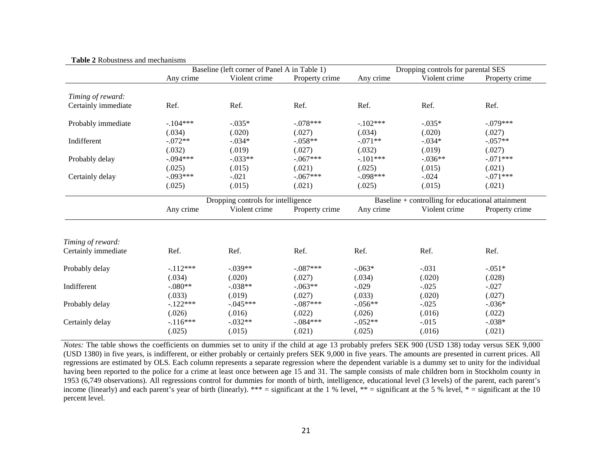|                     |                                    | Baseline (left corner of Panel A in Table 1) |                |                                                   | Dropping controls for parental SES |                |  |  |
|---------------------|------------------------------------|----------------------------------------------|----------------|---------------------------------------------------|------------------------------------|----------------|--|--|
|                     | Any crime                          | Violent crime                                | Property crime | Any crime                                         | Violent crime                      | Property crime |  |  |
|                     |                                    |                                              |                |                                                   |                                    |                |  |  |
| Timing of reward:   |                                    |                                              |                |                                                   |                                    |                |  |  |
| Certainly immediate | Ref.                               | Ref.                                         | Ref.           | Ref.                                              | Ref.                               | Ref.           |  |  |
| Probably immediate  | $-104***$                          | $-.035*$                                     | $-.078***$     | $-.102***$                                        | $-.035*$                           | $-.079***$     |  |  |
|                     | (.034)                             | (.020)                                       | (.027)         | (.034)                                            | (.020)                             | (.027)         |  |  |
| Indifferent         | $-.072**$                          | $-.034*$                                     | $-.058**$      | $-.071**$                                         | $-.034*$                           | $-.057**$      |  |  |
|                     | (.032)                             | (.019)                                       | (.027)         | (.032)                                            | (.019)                             | (.027)         |  |  |
| Probably delay      | $-.094***$                         | $-.033**$                                    | $-.067***$     | $-.101***$                                        | $-.036**$                          | $-.071***$     |  |  |
|                     | (.025)                             | (.015)                                       | (.021)         | (.025)                                            | (.015)                             | (.021)         |  |  |
| Certainly delay     | $-.093***$                         | $-.021$                                      | $-.067***$     | $-.098***$                                        | $-.024$                            | $-.071***$     |  |  |
|                     | (.025)                             | (.015)                                       | (.021)         | (.025)                                            | (.015)                             | (.021)         |  |  |
|                     | Dropping controls for intelligence |                                              |                | Baseline + controlling for educational attainment |                                    |                |  |  |
|                     | Any crime                          | Violent crime                                | Property crime | Any crime                                         | Violent crime                      | Property crime |  |  |
|                     |                                    |                                              |                |                                                   |                                    |                |  |  |
| Timing of reward:   |                                    |                                              |                |                                                   |                                    |                |  |  |
| Certainly immediate | Ref.                               | Ref.                                         | Ref.           | Ref.                                              | Ref.                               | Ref.           |  |  |
| Probably delay      | $-.112***$                         | $-.039**$                                    | $-.087***$     | $-.063*$                                          | $-.031$                            | $-.051*$       |  |  |
|                     | (.034)                             | (.020)                                       | (.027)         | (.034)                                            | (.020)                             | (.028)         |  |  |
| Indifferent         | $-.080**$                          | $-.038**$                                    | $-.063**$      | $-.029$                                           | $-.025$                            | $-.027$        |  |  |
|                     | (.033)                             | (.019)                                       | (.027)         | (.033)                                            | (.020)                             | (.027)         |  |  |
| Probably delay      | $-.122***$                         | $-.045***$                                   | $-.087***$     | $-.056**$                                         | $-.025$                            | $-.036*$       |  |  |
|                     | (.026)                             | (.016)                                       | (.022)         | (.026)                                            | (.016)                             | (.022)         |  |  |
| Certainly delay     | $-.116***$                         | $-0.032**$                                   | $-.084***$     | $-0.052**$                                        | $-.015$                            | $-.038*$       |  |  |
|                     | (.025)                             | (.015)                                       | (.021)         | (.025)                                            | (.016)                             | (.021)         |  |  |
|                     |                                    |                                              |                |                                                   |                                    |                |  |  |

#### **Table 2** Robustness and mechanisms

*Notes:* The table shows the coefficients on dummies set to unity if the child at age 13 probably prefers SEK 900 (USD 138) today versus SEK 9,000 (USD 1380) in five years, is indifferent, or either probably or certainly prefers SEK 9,000 in five years. The amounts are presented in current prices. All regressions are estimated by OLS. Each column represents a separate regression where the dependent variable is a dummy set to unity for the individual having been reported to the police for a crime at least once between age 15 and 31. The sample consists of male children born in Stockholm county in 1953 (6,749 observations). All regressions control for dummies for month of birth, intelligence, educational level (3 levels) of the parent, each parent's income (linearly) and each parent's year of birth (linearly). \*\*\* = significant at the 1 % level, \*\* = significant at the 5 % level, \* = significant at the 10 percent level.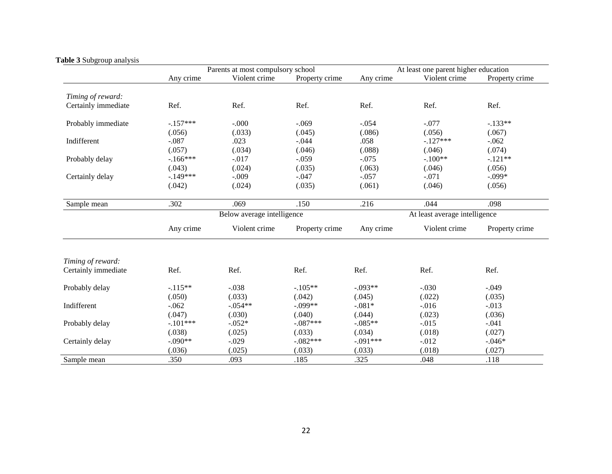|                     | Parents at most compulsory school |               |                | At least one parent higher education |                                                                                                                                                                              |                |  |
|---------------------|-----------------------------------|---------------|----------------|--------------------------------------|------------------------------------------------------------------------------------------------------------------------------------------------------------------------------|----------------|--|
|                     | Any crime                         | Violent crime | Property crime | Any crime                            | Violent crime                                                                                                                                                                | Property crime |  |
| Timing of reward:   |                                   |               |                |                                      |                                                                                                                                                                              |                |  |
| Certainly immediate | Ref.                              | Ref.          | Ref.           | Ref.                                 | Ref.                                                                                                                                                                         | Ref.           |  |
| Probably immediate  | $-.157***$                        | $-.000$       | $-.069$        | $-.054$                              | $-.077$                                                                                                                                                                      | $-.133**$      |  |
|                     | (.056)                            | (.033)        | (.045)         | (.086)                               | (.056)<br>$-.127***$<br>(.046)<br>$-.100**$<br>(.046)<br>$-.071$<br>(.046)<br>.044<br>Violent crime<br>Ref.<br>$-.030$<br>(.022)<br>$-0.016$<br>(.023)<br>$-0.015$<br>(.018) | (.067)         |  |
| Indifferent         | $-.087$                           | .023          | $-.044$        | .058                                 |                                                                                                                                                                              | $-.062$        |  |
|                     | (.057)                            | (.034)        | (.046)         | (.088)                               | $-0.012$<br>(.018)<br>.048                                                                                                                                                   | (.074)         |  |
| Probably delay      | $-166***$                         | $-.017$       | $-.059$        | $-.075$                              |                                                                                                                                                                              | $-.121**$      |  |
|                     | (.043)                            | (.024)        | (.035)         | (.063)                               |                                                                                                                                                                              | (.056)         |  |
| Certainly delay     | $-.149***$                        | $-.009$       | $-.047$        | $-.057$                              |                                                                                                                                                                              | $-.099*$       |  |
|                     | (.042)                            | (.024)        | (.035)         | (.061)                               |                                                                                                                                                                              | (.056)         |  |
| Sample mean         | .302                              | .069          | .150           | .216                                 |                                                                                                                                                                              | .098           |  |
|                     | Below average intelligence        |               |                |                                      | At least average intelligence                                                                                                                                                |                |  |
|                     | Any crime                         | Violent crime | Property crime | Any crime                            |                                                                                                                                                                              | Property crime |  |
| Timing of reward:   |                                   |               |                |                                      |                                                                                                                                                                              |                |  |
| Certainly immediate | Ref.                              | Ref.          | Ref.           | Ref.                                 |                                                                                                                                                                              | Ref.           |  |
| Probably delay      | $-.115**$                         | $-.038$       | $-.105**$      | $-.093**$                            |                                                                                                                                                                              | $-.049$        |  |
|                     | (.050)                            | (.033)        | (.042)         | (.045)                               |                                                                                                                                                                              | (.035)         |  |
| Indifferent         | $-.062$                           | $-.054**$     | $-.099**$      | $-.081*$                             |                                                                                                                                                                              | $-.013$        |  |
|                     | (.047)                            | (.030)        | (.040)         | (.044)                               |                                                                                                                                                                              | (.036)         |  |
| Probably delay      | $-.101***$                        | $-.052*$      | $-.087***$     | $-.085**$                            |                                                                                                                                                                              | $-.041$        |  |
|                     | (.038)                            | (.025)        | (.033)         | (.034)                               |                                                                                                                                                                              | (.027)         |  |
| Certainly delay     | $-.090**$                         | $-.029$       | $-.082***$     | $-.091***$                           |                                                                                                                                                                              | $-.046*$       |  |
|                     | (.036)                            | (.025)        | (.033)         | (.033)                               |                                                                                                                                                                              | (.027)         |  |
| Sample mean         | .350                              | .093          | .185           | .325                                 |                                                                                                                                                                              | .118           |  |

#### **Table 3** Subgroup analysis